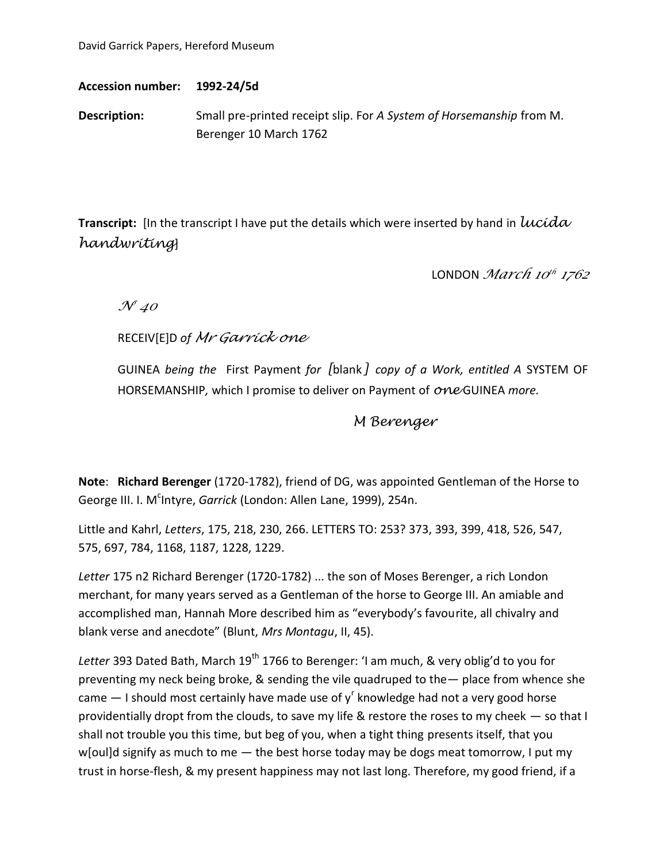David Garrick Papers, Hereford Museum

**Accession number: 1992-24/5d**

**Description:** Small pre-printed receipt slip. For *A System of Horsemanship* from M. Berenger 10 March 1762

**Transcript:** [In the transcript I have put the details which were inserted by hand in *lucida handwriting*]

LONDON *March 10 th 1762*

*N<sup>o</sup> 40*

RECEIV[E]D *of Mr Garrick one*

GUINEA *being the* First Payment *for [*blank*] copy of a Work, entitled A* SYSTEM OF HORSEMANSHIP*,* which I promise to deliver on Payment of *one* GUINEA *more.*

## *M Berenger*

**Note**: **Richard Berenger** (1720-1782), friend of DG, was appointed Gentleman of the Horse to George III. I. M<sup>c</sup>Intyre, *Garrick* (London: Allen Lane, 1999), 254n.

Little and Kahrl, *Letters*, 175, 218, 230, 266. LETTERS TO: 253? 373, 393, 399, 418, 526, 547, 575, 697, 784, 1168, 1187, 1228, 1229.

*Letter* 175 n2 Richard Berenger (1720-1782) ... the son of Moses Berenger, a rich London merchant, for many years served as a Gentleman of the horse to George III. An amiable and accomplished man, Hannah More described him as "everybody's favourite, all chivalry and blank verse and anecdote" (Blunt, *Mrs Montagu*, II, 45).

Letter 393 Dated Bath, March 19<sup>th</sup> 1766 to Berenger: 'I am much, & very oblig'd to you for preventing my neck being broke, & sending the vile quadruped to the— place from whence she came  $-$  I should most certainly have made use of y<sup>r</sup> knowledge had not a very good horse providentially dropt from the clouds, to save my life & restore the roses to my cheek — so that I shall not trouble you this time, but beg of you, when a tight thing presents itself, that you w[oul]d signify as much to me - the best horse today may be dogs meat tomorrow, I put my trust in horse-flesh, & my present happiness may not last long. Therefore, my good friend, if a